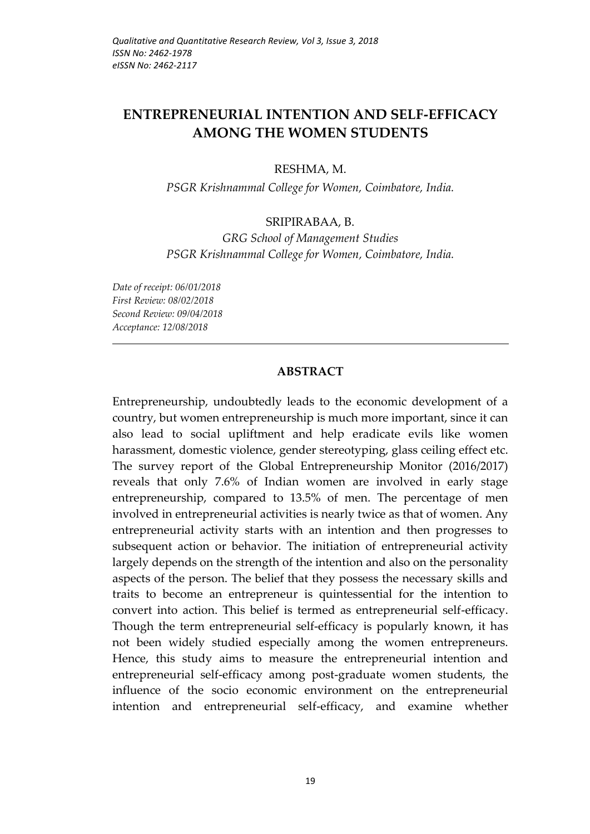# **ENTREPRENEURIAL INTENTION AND SELF-EFFICACY AMONG THE WOMEN STUDENTS**

#### RESHMA, M.

*PSGR Krishnammal College for Women, Coimbatore, India.*

#### SRIPIRABAA, B.

*GRG School of Management Studies PSGR Krishnammal College for Women, Coimbatore, India.*

*Date of receipt: 06/01/2018 First Review: 08/02/2018 Second Review: 09/04/2018 Acceptance: 12/08/2018*

#### **ABSTRACT**

Entrepreneurship, undoubtedly leads to the economic development of a country, but women entrepreneurship is much more important, since it can also lead to social upliftment and help eradicate evils like women harassment, domestic violence, gender stereotyping, glass ceiling effect etc. The survey report of the Global Entrepreneurship Monitor (2016/2017) reveals that only 7.6% of Indian women are involved in early stage entrepreneurship, compared to 13.5% of men. The percentage of men involved in entrepreneurial activities is nearly twice as that of women. Any entrepreneurial activity starts with an intention and then progresses to subsequent action or behavior. The initiation of entrepreneurial activity largely depends on the strength of the intention and also on the personality aspects of the person. The belief that they possess the necessary skills and traits to become an entrepreneur is quintessential for the intention to convert into action. This belief is termed as entrepreneurial self-efficacy. Though the term entrepreneurial self-efficacy is popularly known, it has not been widely studied especially among the women entrepreneurs. Hence, this study aims to measure the entrepreneurial intention and entrepreneurial self-efficacy among post-graduate women students, the influence of the socio economic environment on the entrepreneurial intention and entrepreneurial self-efficacy, and examine whether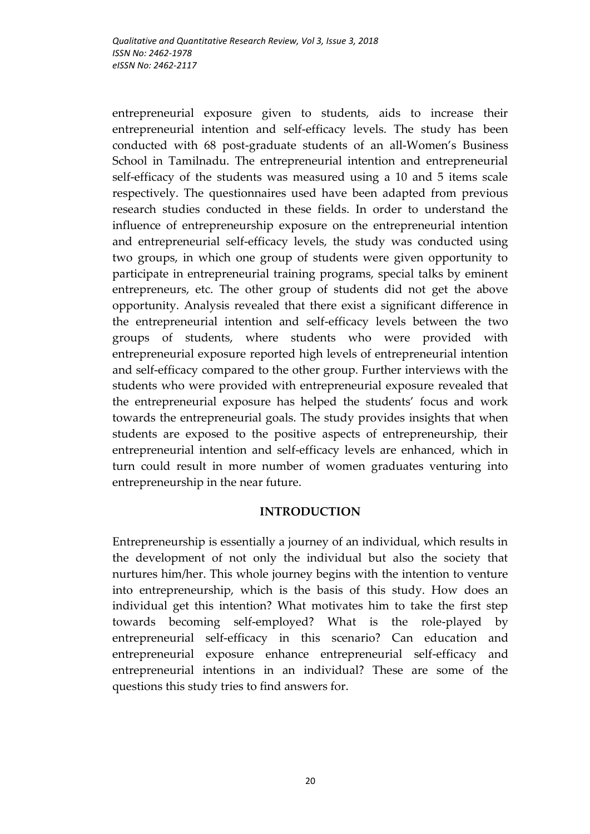entrepreneurial exposure given to students, aids to increase their entrepreneurial intention and self-efficacy levels. The study has been conducted with 68 post-graduate students of an all-Women's Business School in Tamilnadu. The entrepreneurial intention and entrepreneurial self-efficacy of the students was measured using a 10 and 5 items scale respectively. The questionnaires used have been adapted from previous research studies conducted in these fields. In order to understand the influence of entrepreneurship exposure on the entrepreneurial intention and entrepreneurial self-efficacy levels, the study was conducted using two groups, in which one group of students were given opportunity to participate in entrepreneurial training programs, special talks by eminent entrepreneurs, etc. The other group of students did not get the above opportunity. Analysis revealed that there exist a significant difference in the entrepreneurial intention and self-efficacy levels between the two groups of students, where students who were provided with entrepreneurial exposure reported high levels of entrepreneurial intention and self-efficacy compared to the other group. Further interviews with the students who were provided with entrepreneurial exposure revealed that the entrepreneurial exposure has helped the students' focus and work towards the entrepreneurial goals. The study provides insights that when students are exposed to the positive aspects of entrepreneurship, their entrepreneurial intention and self-efficacy levels are enhanced, which in turn could result in more number of women graduates venturing into entrepreneurship in the near future.

# **INTRODUCTION**

Entrepreneurship is essentially a journey of an individual, which results in the development of not only the individual but also the society that nurtures him/her. This whole journey begins with the intention to venture into entrepreneurship, which is the basis of this study. How does an individual get this intention? What motivates him to take the first step towards becoming self-employed? What is the role-played by entrepreneurial self-efficacy in this scenario? Can education and entrepreneurial exposure enhance entrepreneurial self-efficacy and entrepreneurial intentions in an individual? These are some of the questions this study tries to find answers for.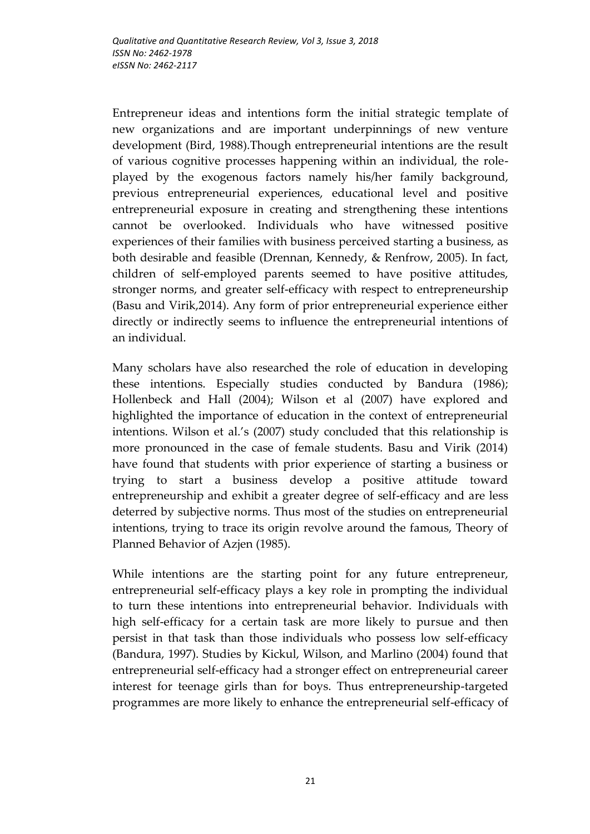Entrepreneur ideas and intentions form the initial strategic template of new organizations and are important underpinnings of new venture development (Bird, 1988).Though entrepreneurial intentions are the result of various cognitive processes happening within an individual, the roleplayed by the exogenous factors namely his/her family background, previous entrepreneurial experiences, educational level and positive entrepreneurial exposure in creating and strengthening these intentions cannot be overlooked. Individuals who have witnessed positive experiences of their families with business perceived starting a business, as both desirable and feasible (Drennan, Kennedy, & Renfrow, 2005). In fact, children of self-employed parents seemed to have positive attitudes, stronger norms, and greater self-efficacy with respect to entrepreneurship (Basu and Virik,2014). Any form of prior entrepreneurial experience either directly or indirectly seems to influence the entrepreneurial intentions of an individual.

Many scholars have also researched the role of education in developing these intentions. Especially studies conducted by Bandura (1986); Hollenbeck and Hall (2004); Wilson et al (2007) have explored and highlighted the importance of education in the context of entrepreneurial intentions. Wilson et al.'s (2007) study concluded that this relationship is more pronounced in the case of female students. Basu and Virik (2014) have found that students with prior experience of starting a business or trying to start a business develop a positive attitude toward entrepreneurship and exhibit a greater degree of self-efficacy and are less deterred by subjective norms. Thus most of the studies on entrepreneurial intentions, trying to trace its origin revolve around the famous, Theory of Planned Behavior of Azjen (1985).

While intentions are the starting point for any future entrepreneur, entrepreneurial self-efficacy plays a key role in prompting the individual to turn these intentions into entrepreneurial behavior. Individuals with high self-efficacy for a certain task are more likely to pursue and then persist in that task than those individuals who possess low self-efficacy (Bandura, 1997). Studies by Kickul, Wilson, and Marlino (2004) found that entrepreneurial self-efficacy had a stronger effect on entrepreneurial career interest for teenage girls than for boys. Thus entrepreneurship-targeted programmes are more likely to enhance the entrepreneurial self-efficacy of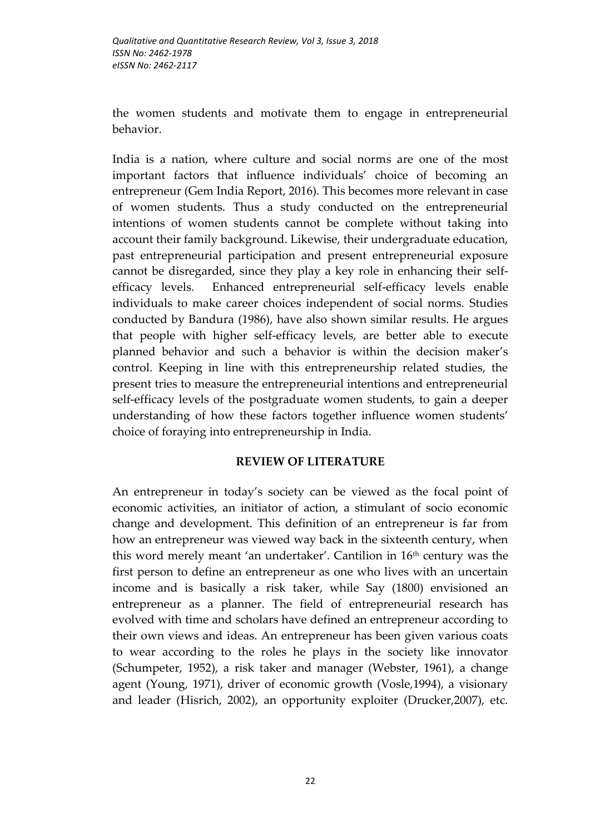the women students and motivate them to engage in entrepreneurial behavior.

India is a nation, where culture and social norms are one of the most important factors that influence individuals' choice of becoming an entrepreneur (Gem India Report, 2016). This becomes more relevant in case of women students. Thus a study conducted on the entrepreneurial intentions of women students cannot be complete without taking into account their family background. Likewise, their undergraduate education, past entrepreneurial participation and present entrepreneurial exposure cannot be disregarded, since they play a key role in enhancing their selfefficacy levels. Enhanced entrepreneurial self-efficacy levels enable individuals to make career choices independent of social norms. Studies conducted by Bandura (1986), have also shown similar results. He argues that people with higher self-efficacy levels, are better able to execute planned behavior and such a behavior is within the decision maker's control. Keeping in line with this entrepreneurship related studies, the present tries to measure the entrepreneurial intentions and entrepreneurial self-efficacy levels of the postgraduate women students, to gain a deeper understanding of how these factors together influence women students' choice of foraying into entrepreneurship in India.

# **REVIEW OF LITERATURE**

An entrepreneur in today's society can be viewed as the focal point of economic activities, an initiator of action, a stimulant of socio economic change and development. This definition of an entrepreneur is far from how an entrepreneur was viewed way back in the sixteenth century, when this word merely meant 'an undertaker'. Cantilion in 16th century was the first person to define an entrepreneur as one who lives with an uncertain income and is basically a risk taker, while Say (1800) envisioned an entrepreneur as a planner. The field of entrepreneurial research has evolved with time and scholars have defined an entrepreneur according to their own views and ideas. An entrepreneur has been given various coats to wear according to the roles he plays in the society like innovator (Schumpeter, 1952), a risk taker and manager (Webster, 1961), a change agent (Young, 1971), driver of economic growth (Vosle,1994), a visionary and leader (Hisrich, 2002), an opportunity exploiter (Drucker,2007), etc.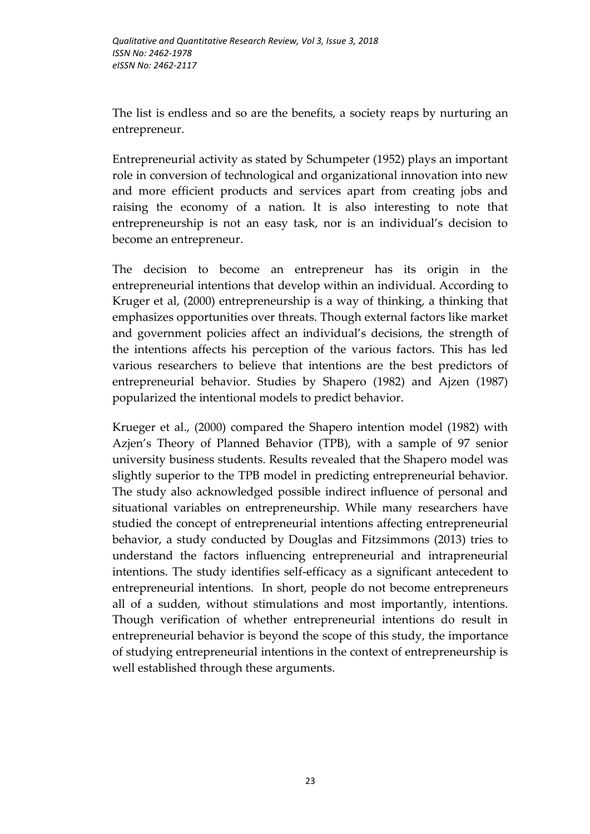The list is endless and so are the benefits, a society reaps by nurturing an entrepreneur.

Entrepreneurial activity as stated by Schumpeter (1952) plays an important role in conversion of technological and organizational innovation into new and more efficient products and services apart from creating jobs and raising the economy of a nation. It is also interesting to note that entrepreneurship is not an easy task, nor is an individual's decision to become an entrepreneur.

The decision to become an entrepreneur has its origin in the entrepreneurial intentions that develop within an individual. According to Kruger et al, (2000) entrepreneurship is a way of thinking, a thinking that emphasizes opportunities over threats. Though external factors like market and government policies affect an individual's decisions, the strength of the intentions affects his perception of the various factors. This has led various researchers to believe that intentions are the best predictors of entrepreneurial behavior. Studies by Shapero (1982) and Ajzen (1987) popularized the intentional models to predict behavior.

Krueger et al., (2000) compared the Shapero intention model (1982) with Azjen's Theory of Planned Behavior (TPB), with a sample of 97 senior university business students. Results revealed that the Shapero model was slightly superior to the TPB model in predicting entrepreneurial behavior. The study also acknowledged possible indirect influence of personal and situational variables on entrepreneurship. While many researchers have studied the concept of entrepreneurial intentions affecting entrepreneurial behavior, a study conducted by Douglas and Fitzsimmons (2013) tries to understand the factors influencing entrepreneurial and intrapreneurial intentions. The study identifies self-efficacy as a significant antecedent to entrepreneurial intentions. In short, people do not become entrepreneurs all of a sudden, without stimulations and most importantly, intentions. Though verification of whether entrepreneurial intentions do result in entrepreneurial behavior is beyond the scope of this study, the importance of studying entrepreneurial intentions in the context of entrepreneurship is well established through these arguments.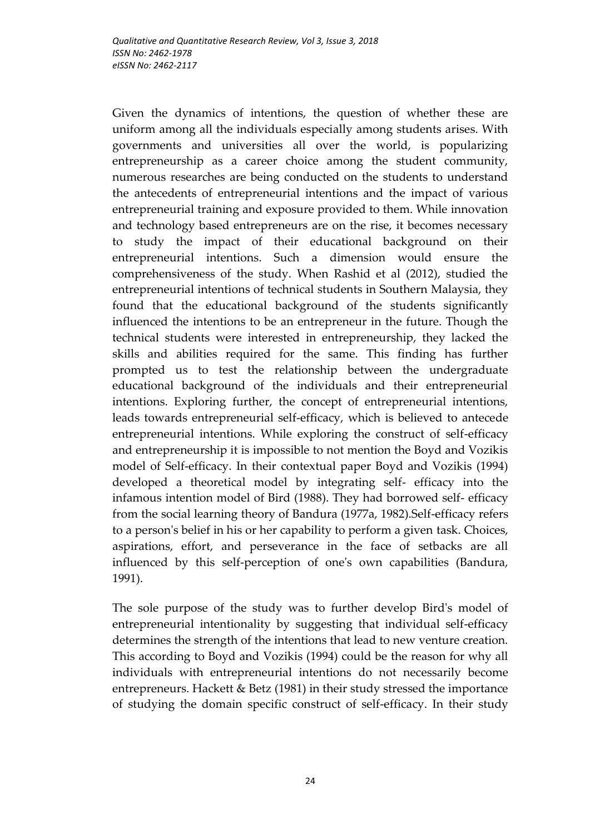Given the dynamics of intentions, the question of whether these are uniform among all the individuals especially among students arises. With governments and universities all over the world, is popularizing entrepreneurship as a career choice among the student community, numerous researches are being conducted on the students to understand the antecedents of entrepreneurial intentions and the impact of various entrepreneurial training and exposure provided to them. While innovation and technology based entrepreneurs are on the rise, it becomes necessary to study the impact of their educational background on their entrepreneurial intentions. Such a dimension would ensure the comprehensiveness of the study. When Rashid et al (2012), studied the entrepreneurial intentions of technical students in Southern Malaysia, they found that the educational background of the students significantly influenced the intentions to be an entrepreneur in the future. Though the technical students were interested in entrepreneurship, they lacked the skills and abilities required for the same. This finding has further prompted us to test the relationship between the undergraduate educational background of the individuals and their entrepreneurial intentions. Exploring further, the concept of entrepreneurial intentions, leads towards entrepreneurial self-efficacy, which is believed to antecede entrepreneurial intentions. While exploring the construct of self-efficacy and entrepreneurship it is impossible to not mention the Boyd and Vozikis model of Self-efficacy. In their contextual paper Boyd and Vozikis (1994) developed a theoretical model by integrating self- efficacy into the infamous intention model of Bird (1988). They had borrowed self- efficacy from the social learning theory of Bandura (1977a, 1982).Self-efficacy refers to a person's belief in his or her capability to perform a given task. Choices, aspirations, effort, and perseverance in the face of setbacks are all influenced by this self-perception of one's own capabilities (Bandura, 1991).

The sole purpose of the study was to further develop Bird's model of entrepreneurial intentionality by suggesting that individual self-efficacy determines the strength of the intentions that lead to new venture creation. This according to Boyd and Vozikis (1994) could be the reason for why all individuals with entrepreneurial intentions do not necessarily become entrepreneurs. Hackett & Betz (1981) in their study stressed the importance of studying the domain specific construct of self-efficacy. In their study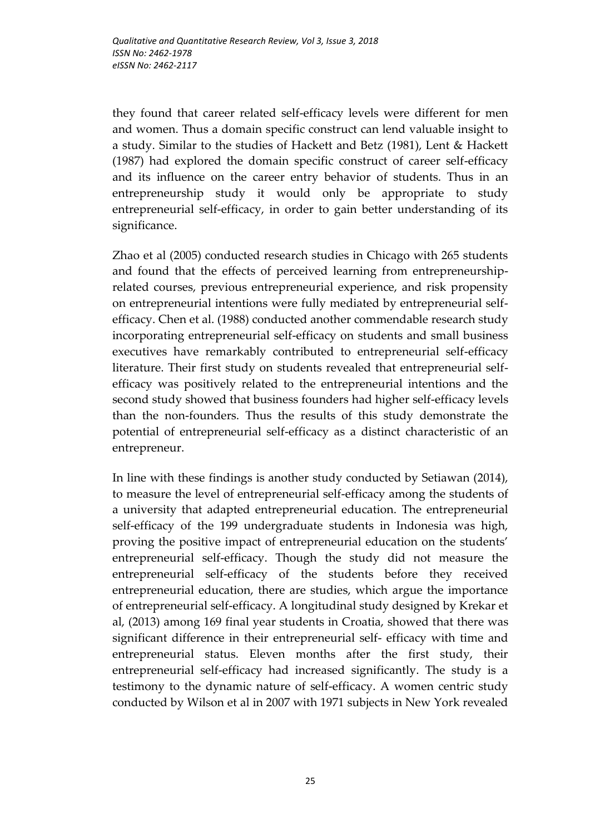they found that career related self-efficacy levels were different for men and women. Thus a domain specific construct can lend valuable insight to a study. Similar to the studies of Hackett and Betz (1981), Lent & Hackett (1987) had explored the domain specific construct of career self-efficacy and its influence on the career entry behavior of students. Thus in an entrepreneurship study it would only be appropriate to study entrepreneurial self-efficacy, in order to gain better understanding of its significance.

Zhao et al (2005) conducted research studies in Chicago with 265 students and found that the effects of perceived learning from entrepreneurshiprelated courses, previous entrepreneurial experience, and risk propensity on entrepreneurial intentions were fully mediated by entrepreneurial selfefficacy. Chen et al. (1988) conducted another commendable research study incorporating entrepreneurial self-efficacy on students and small business executives have remarkably contributed to entrepreneurial self-efficacy literature. Their first study on students revealed that entrepreneurial selfefficacy was positively related to the entrepreneurial intentions and the second study showed that business founders had higher self-efficacy levels than the non-founders. Thus the results of this study demonstrate the potential of entrepreneurial self-efficacy as a distinct characteristic of an entrepreneur.

In line with these findings is another study conducted by Setiawan (2014), to measure the level of entrepreneurial self-efficacy among the students of a university that adapted entrepreneurial education. The entrepreneurial self-efficacy of the 199 undergraduate students in Indonesia was high, proving the positive impact of entrepreneurial education on the students' entrepreneurial self-efficacy. Though the study did not measure the entrepreneurial self-efficacy of the students before they received entrepreneurial education, there are studies, which argue the importance of entrepreneurial self-efficacy. A longitudinal study designed by Krekar et al, (2013) among 169 final year students in Croatia, showed that there was significant difference in their entrepreneurial self- efficacy with time and entrepreneurial status. Eleven months after the first study, their entrepreneurial self-efficacy had increased significantly. The study is a testimony to the dynamic nature of self-efficacy. A women centric study conducted by Wilson et al in 2007 with 1971 subjects in New York revealed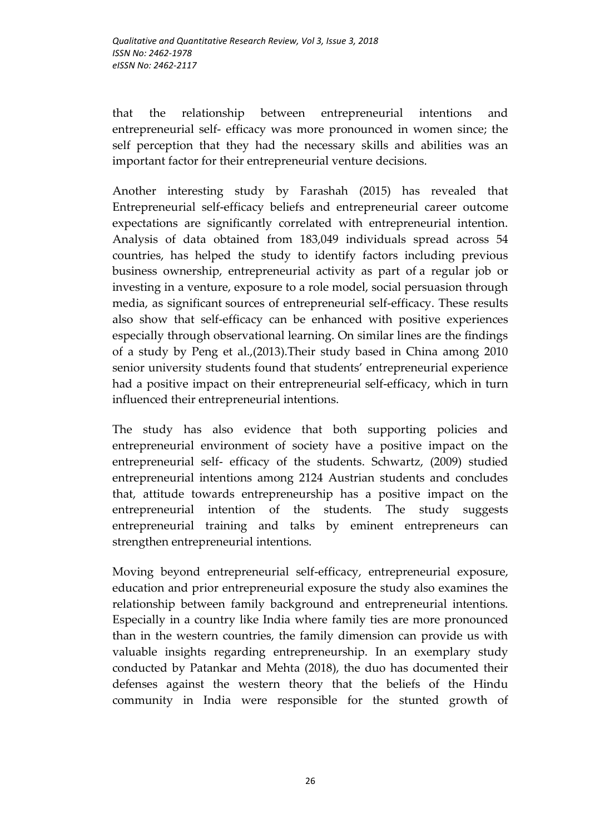that the relationship between entrepreneurial intentions and entrepreneurial self- efficacy was more pronounced in women since; the self perception that they had the necessary skills and abilities was an important factor for their entrepreneurial venture decisions.

Another interesting study by Farashah (2015) has revealed that Entrepreneurial self-efficacy beliefs and entrepreneurial career outcome expectations are significantly correlated with entrepreneurial intention. Analysis of data obtained from 183,049 individuals spread across 54 countries, has helped the study to identify factors including previous business ownership, entrepreneurial activity as part of a regular job or investing in a venture, exposure to a role model, social persuasion through media, as significant sources of entrepreneurial self-efficacy. These results also show that self-efficacy can be enhanced with positive experiences especially through observational learning. On similar lines are the findings of a study by Peng et al.,(2013).Their study based in China among 2010 senior university students found that students' entrepreneurial experience had a positive impact on their entrepreneurial self-efficacy, which in turn influenced their entrepreneurial intentions.

The study has also evidence that both supporting policies and entrepreneurial environment of society have a positive impact on the entrepreneurial self- efficacy of the students. Schwartz, (2009) studied entrepreneurial intentions among 2124 Austrian students and concludes that, attitude towards entrepreneurship has a positive impact on the entrepreneurial intention of the students. The study suggests entrepreneurial training and talks by eminent entrepreneurs can strengthen entrepreneurial intentions.

Moving beyond entrepreneurial self-efficacy, entrepreneurial exposure, education and prior entrepreneurial exposure the study also examines the relationship between family background and entrepreneurial intentions. Especially in a country like India where family ties are more pronounced than in the western countries, the family dimension can provide us with valuable insights regarding entrepreneurship. In an exemplary study conducted by Patankar and Mehta (2018), the duo has documented their defenses against the western theory that the beliefs of the Hindu community in India were responsible for the stunted growth of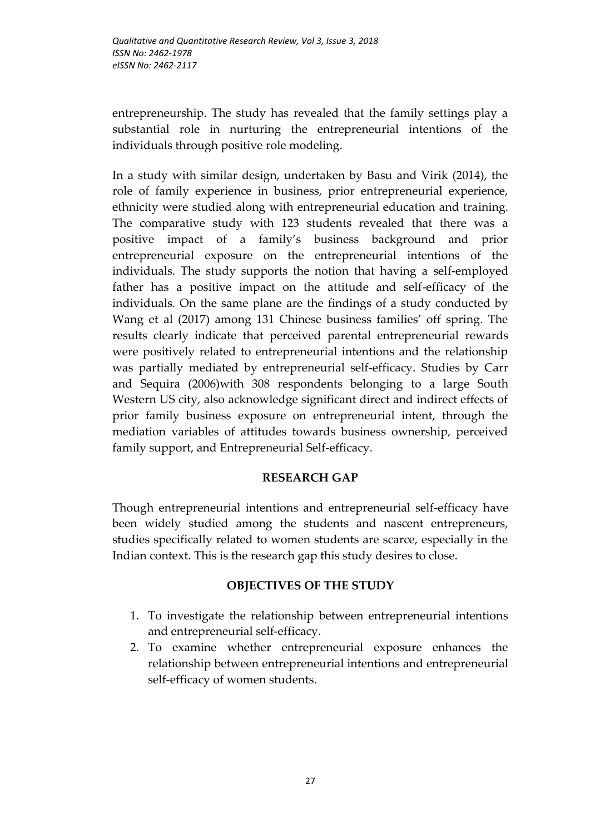entrepreneurship. The study has revealed that the family settings play a substantial role in nurturing the entrepreneurial intentions of the individuals through positive role modeling.

In a study with similar design, undertaken by Basu and Virik (2014), the role of family experience in business, prior entrepreneurial experience, ethnicity were studied along with entrepreneurial education and training. The comparative study with 123 students revealed that there was a positive impact of a family's business background and prior entrepreneurial exposure on the entrepreneurial intentions of the individuals. The study supports the notion that having a self-employed father has a positive impact on the attitude and self-efficacy of the individuals. On the same plane are the findings of a study conducted by Wang et al (2017) among 131 Chinese business families' off spring. The results clearly indicate that perceived parental entrepreneurial rewards were positively related to entrepreneurial intentions and the relationship was partially mediated by entrepreneurial self-efficacy. Studies by Carr and Sequira (2006)with 308 respondents belonging to a large South Western US city, also acknowledge significant direct and indirect effects of prior family business exposure on entrepreneurial intent, through the mediation variables of attitudes towards business ownership, perceived family support, and Entrepreneurial Self-efficacy.

# **RESEARCH GAP**

Though entrepreneurial intentions and entrepreneurial self-efficacy have been widely studied among the students and nascent entrepreneurs, studies specifically related to women students are scarce, especially in the Indian context. This is the research gap this study desires to close.

# **OBJECTIVES OF THE STUDY**

- 1. To investigate the relationship between entrepreneurial intentions and entrepreneurial self-efficacy.
- 2. To examine whether entrepreneurial exposure enhances the relationship between entrepreneurial intentions and entrepreneurial self-efficacy of women students.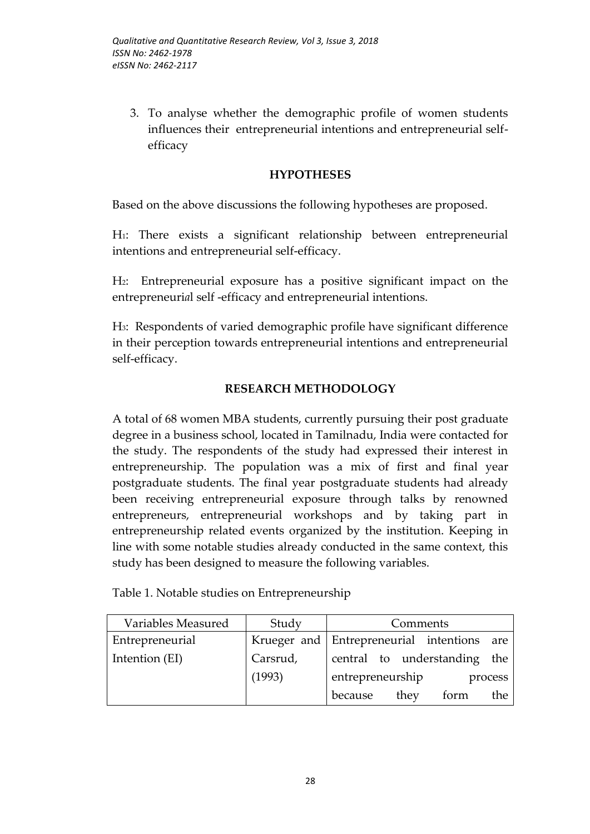3. To analyse whether the demographic profile of women students influences their entrepreneurial intentions and entrepreneurial selfefficacy

# **HYPOTHESES**

Based on the above discussions the following hypotheses are proposed.

H1: There exists a significant relationship between entrepreneurial intentions and entrepreneurial self-efficacy.

H2: Entrepreneurial exposure has a positive significant impact on the entrepreneuri*a*l self -efficacy and entrepreneurial intentions.

H3: Respondents of varied demographic profile have significant difference in their perception towards entrepreneurial intentions and entrepreneurial self-efficacy.

# **RESEARCH METHODOLOGY**

A total of 68 women MBA students, currently pursuing their post graduate degree in a business school, located in Tamilnadu, India were contacted for the study. The respondents of the study had expressed their interest in entrepreneurship. The population was a mix of first and final year postgraduate students. The final year postgraduate students had already been receiving entrepreneurial exposure through talks by renowned entrepreneurs, entrepreneurial workshops and by taking part in entrepreneurship related events organized by the institution. Keeping in line with some notable studies already conducted in the same context, this study has been designed to measure the following variables.

Table 1. Notable studies on Entrepreneurship

| Variables Measured | Study    | Comments                                   |
|--------------------|----------|--------------------------------------------|
| Entrepreneurial    |          | Krueger and Entrepreneurial intentions are |
| Intention (EI)     | Carsrud, | central to understanding the               |
|                    | (1993)   | entrepreneurship<br>process                |
|                    |          | form<br>they<br>the<br>because             |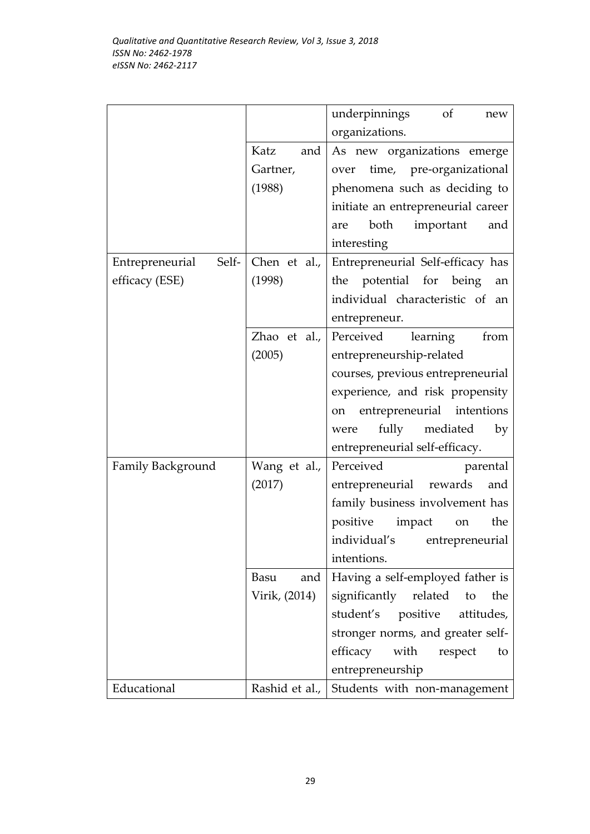|                                  |                          | underpinnings of<br>new            |
|----------------------------------|--------------------------|------------------------------------|
|                                  |                          | organizations.                     |
|                                  | Katz<br>and              | As new organizations emerge        |
|                                  | Gartner,                 | time, pre-organizational<br>over   |
|                                  | (1988)                   | phenomena such as deciding to      |
|                                  |                          | initiate an entrepreneurial career |
|                                  |                          | both important<br>and<br>are       |
|                                  |                          | interesting                        |
| Self- $\vert$<br>Entrepreneurial | Chen et al., $\parallel$ | Entrepreneurial Self-efficacy has  |
| efficacy (ESE)                   | (1998)                   | the potential for being<br>an      |
|                                  |                          | individual characteristic of an    |
|                                  |                          | entrepreneur.                      |
|                                  | Zhao et al., $ $         | Perceived<br>learning<br>from      |
|                                  | (2005)                   | entrepreneurship-related           |
|                                  |                          | courses, previous entrepreneurial  |
|                                  |                          | experience, and risk propensity    |
|                                  |                          | on entrepreneurial intentions      |
|                                  |                          | fully mediated<br>by<br>were       |
|                                  |                          | entrepreneurial self-efficacy.     |
| <b>Family Background</b>         | Wang et al.,             | Perceived<br>parental              |
|                                  | (2017)                   | entrepreneurial rewards<br>and     |
|                                  |                          | family business involvement has    |
|                                  |                          | positive impact<br>the<br>on       |
|                                  |                          | individual's entrepreneurial       |
|                                  |                          | intentions.                        |
|                                  | Basu<br>and              | Having a self-employed father is   |
|                                  | Virik, (2014)            | significantly related<br>to<br>the |
|                                  |                          | student's positive<br>attitudes,   |
|                                  |                          | stronger norms, and greater self-  |
|                                  |                          | efficacy<br>with<br>respect<br>to  |
|                                  |                          | entrepreneurship                   |
| Educational                      | Rashid et al.,           | Students with non-management       |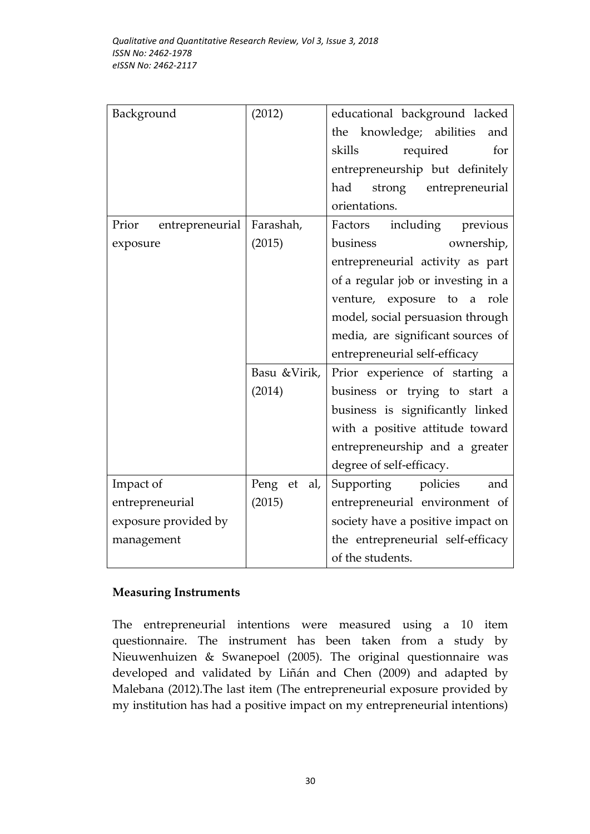| Background               | (2012)         | educational background lacked      |
|--------------------------|----------------|------------------------------------|
|                          |                | knowledge; abilities<br>the<br>and |
|                          |                | skills<br>required<br>for          |
|                          |                | entrepreneurship but definitely    |
|                          |                | had<br>strong<br>entrepreneurial   |
|                          |                | orientations.                      |
| entrepreneurial<br>Prior | Farashah,      | including<br>Factors<br>previous   |
| exposure                 | (2015)         | business<br>ownership,             |
|                          |                | entrepreneurial activity as part   |
|                          |                | of a regular job or investing in a |
|                          |                | venture, exposure to a<br>role     |
|                          |                | model, social persuasion through   |
|                          |                | media, are significant sources of  |
|                          |                | entrepreneurial self-efficacy      |
|                          | Basu & Virik,  | Prior experience of starting a     |
|                          | (2014)         | business or trying to start a      |
|                          |                | business is significantly linked   |
|                          |                | with a positive attitude toward    |
|                          |                | entrepreneurship and a greater     |
|                          |                | degree of self-efficacy.           |
| Impact of                | Peng et<br>al, | Supporting policies<br>and         |
| entrepreneurial          | (2015)         | entrepreneurial environment of     |
| exposure provided by     |                | society have a positive impact on  |
| management               |                | the entrepreneurial self-efficacy  |
|                          |                | of the students.                   |

# **Measuring Instruments**

The entrepreneurial intentions were measured using a 10 item questionnaire. The instrument has been taken from a study by Nieuwenhuizen & Swanepoel (2005). The original questionnaire was developed and validated by Liñán and Chen (2009) and adapted by Malebana (2012).The last item (The entrepreneurial exposure provided by my institution has had a positive impact on my entrepreneurial intentions)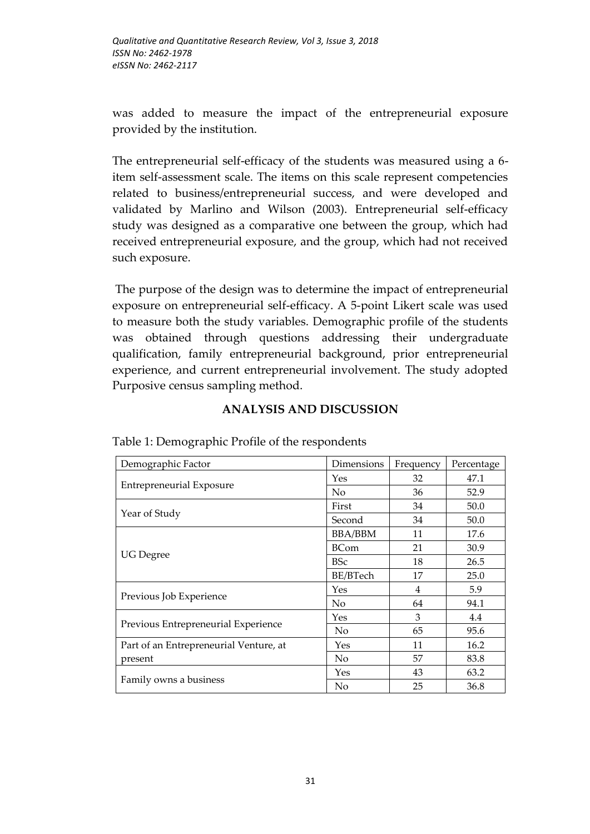was added to measure the impact of the entrepreneurial exposure provided by the institution.

The entrepreneurial self-efficacy of the students was measured using a 6 item self-assessment scale. The items on this scale represent competencies related to business/entrepreneurial success, and were developed and validated by Marlino and Wilson (2003). Entrepreneurial self-efficacy study was designed as a comparative one between the group, which had received entrepreneurial exposure, and the group, which had not received such exposure.

The purpose of the design was to determine the impact of entrepreneurial exposure on entrepreneurial self-efficacy. A 5-point Likert scale was used to measure both the study variables. Demographic profile of the students was obtained through questions addressing their undergraduate qualification, family entrepreneurial background, prior entrepreneurial experience, and current entrepreneurial involvement. The study adopted Purposive census sampling method.

# **ANALYSIS AND DISCUSSION**

| Demographic Factor                     | Dimensions     | Frequency                                                    | Percentage |
|----------------------------------------|----------------|--------------------------------------------------------------|------------|
|                                        | Yes            | 32                                                           | 47.1       |
| <b>Entrepreneurial Exposure</b>        | N <sub>0</sub> | 36                                                           | 52.9       |
|                                        | First          | 34                                                           | 50.0       |
| Year of Study                          | Second         | 34                                                           | 50.0       |
|                                        | <b>BBA/BBM</b> | 11                                                           | 17.6       |
|                                        | <b>BCom</b>    | 21<br>18<br>17<br>4<br>64<br>3<br>65<br>11<br>57<br>43<br>25 | 30.9       |
| <b>UG</b> Degree                       | <b>BSc</b>     |                                                              | 26.5       |
|                                        | BE/BTech       |                                                              | 25.0       |
|                                        | Yes            |                                                              | 5.9        |
| Previous Job Experience                | N <sub>o</sub> |                                                              | 94.1       |
|                                        | Yes            |                                                              | 4.4        |
| Previous Entrepreneurial Experience    | No             |                                                              | 95.6       |
| Part of an Entrepreneurial Venture, at | Yes            |                                                              | 16.2       |
| present                                | No             |                                                              | 83.8       |
|                                        | Yes            |                                                              | 63.2       |
| Family owns a business                 | No             |                                                              | 36.8       |

Table 1: Demographic Profile of the respondents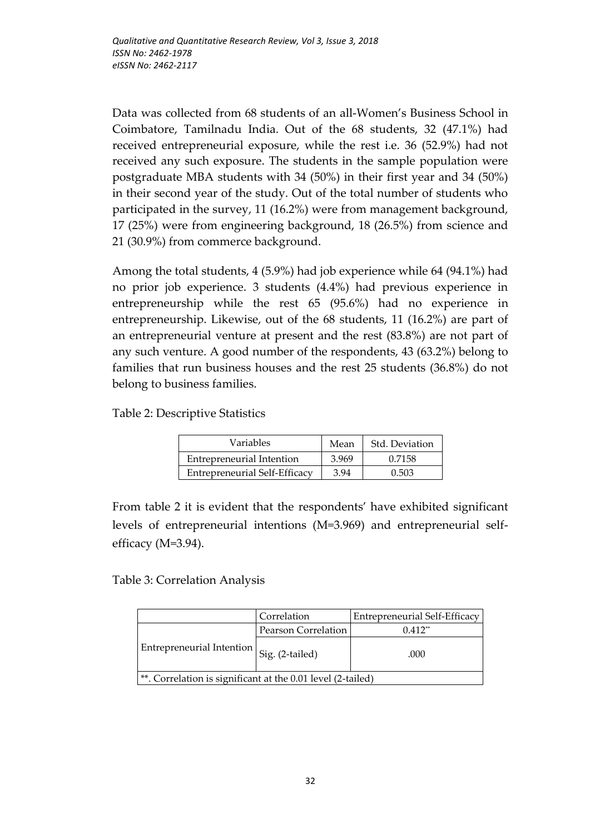Data was collected from 68 students of an all-Women's Business School in Coimbatore, Tamilnadu India. Out of the 68 students, 32 (47.1%) had received entrepreneurial exposure, while the rest i.e. 36 (52.9%) had not received any such exposure. The students in the sample population were postgraduate MBA students with 34 (50%) in their first year and 34 (50%) in their second year of the study. Out of the total number of students who participated in the survey, 11 (16.2%) were from management background, 17 (25%) were from engineering background, 18 (26.5%) from science and 21 (30.9%) from commerce background.

Among the total students, 4 (5.9%) had job experience while 64 (94.1%) had no prior job experience. 3 students (4.4%) had previous experience in entrepreneurship while the rest 65 (95.6%) had no experience in entrepreneurship. Likewise, out of the 68 students, 11 (16.2%) are part of an entrepreneurial venture at present and the rest (83.8%) are not part of any such venture. A good number of the respondents, 43 (63.2%) belong to families that run business houses and the rest 25 students (36.8%) do not belong to business families.

Table 2: Descriptive Statistics

| <b>Variables</b>              | Mean  | Std. Deviation |
|-------------------------------|-------|----------------|
| Entrepreneurial Intention     | 3.969 | 0.7158         |
| Entrepreneurial Self-Efficacy | 3.94  | 0.503          |

From table 2 it is evident that the respondents' have exhibited significant levels of entrepreneurial intentions (M=3.969) and entrepreneurial selfefficacy (M=3.94).

Table 3: Correlation Analysis

|                                                             | Correlation         | Entrepreneurial Self-Efficacy |  |  |  |  |  |  |
|-------------------------------------------------------------|---------------------|-------------------------------|--|--|--|--|--|--|
|                                                             | Pearson Correlation | $0.412**$                     |  |  |  |  |  |  |
| Entrepreneurial Intention                                   | Sig. (2-tailed)     | .000                          |  |  |  |  |  |  |
| **. Correlation is significant at the 0.01 level (2-tailed) |                     |                               |  |  |  |  |  |  |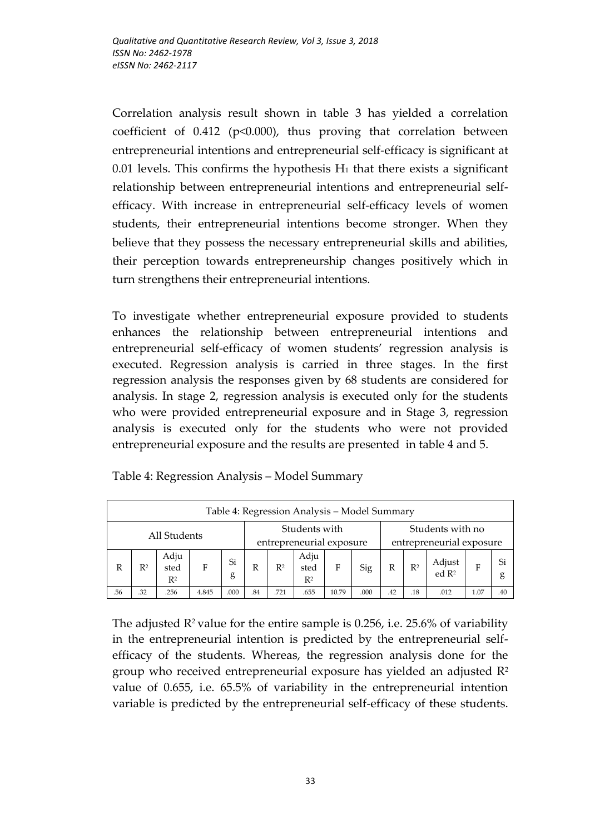Correlation analysis result shown in table 3 has yielded a correlation coefficient of 0.412 (p<0.000), thus proving that correlation between entrepreneurial intentions and entrepreneurial self-efficacy is significant at  $0.01$  levels. This confirms the hypothesis  $H_1$  that there exists a significant relationship between entrepreneurial intentions and entrepreneurial selfefficacy. With increase in entrepreneurial self-efficacy levels of women students, their entrepreneurial intentions become stronger. When they believe that they possess the necessary entrepreneurial skills and abilities, their perception towards entrepreneurship changes positively which in turn strengthens their entrepreneurial intentions.

To investigate whether entrepreneurial exposure provided to students enhances the relationship between entrepreneurial intentions and entrepreneurial self-efficacy of women students' regression analysis is executed. Regression analysis is carried in three stages. In the first regression analysis the responses given by 68 students are considered for analysis. In stage 2, regression analysis is executed only for the students who were provided entrepreneurial exposure and in Stage 3, regression analysis is executed only for the students who were not provided entrepreneurial exposure and the results are presented in table 4 and 5.

|              | Table 4: Regression Analysis – Model Summary |                       |       |         |                                           |       |                       |       |                                              |     |       |                             |      |         |
|--------------|----------------------------------------------|-----------------------|-------|---------|-------------------------------------------|-------|-----------------------|-------|----------------------------------------------|-----|-------|-----------------------------|------|---------|
| All Students |                                              |                       |       |         | Students with<br>entrepreneurial exposure |       |                       |       | Students with no<br>entrepreneurial exposure |     |       |                             |      |         |
| R            | $R^2$                                        | Adju<br>sted<br>$R^2$ | F     | Si<br>g | R                                         | $R^2$ | Adju<br>sted<br>$R^2$ | F     | Sig                                          | R   | $R^2$ | Adjust<br>ed R <sup>2</sup> | F    | Si<br>g |
| .56          | .32                                          | 256                   | 4.845 | .000    | .84                                       | .721  | .655                  | 10.79 | .000                                         | .42 | .18   | .012                        | 1.07 | .40     |

Table 4: Regression Analysis – Model Summary

The adjusted  $\mathbb{R}^2$  value for the entire sample is 0.256, i.e. 25.6% of variability in the entrepreneurial intention is predicted by the entrepreneurial selfefficacy of the students. Whereas, the regression analysis done for the group who received entrepreneurial exposure has yielded an adjusted  $\mathbb{R}^2$ value of 0.655, i.e. 65.5% of variability in the entrepreneurial intention variable is predicted by the entrepreneurial self-efficacy of these students.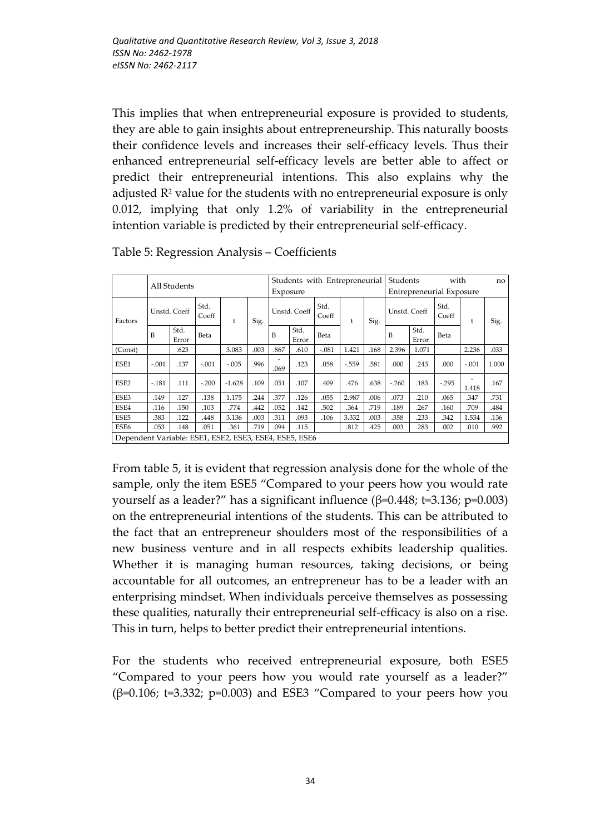This implies that when entrepreneurial exposure is provided to students, they are able to gain insights about entrepreneurship. This naturally boosts their confidence levels and increases their self-efficacy levels. Thus their enhanced entrepreneurial self-efficacy levels are better able to affect or predict their entrepreneurial intentions. This also explains why the adjusted  $\mathbb{R}^2$  value for the students with no entrepreneurial exposure is only 0.012, implying that only 1.2% of variability in the entrepreneurial intention variable is predicted by their entrepreneurial self-efficacy.

|                                                        |              | All Students  |               |          |      | Exposure |               | Students with Entrepreneurial |         |      | Students<br>with<br>Entrepreneurial Exposure |               |               |         | no    |
|--------------------------------------------------------|--------------|---------------|---------------|----------|------|----------|---------------|-------------------------------|---------|------|----------------------------------------------|---------------|---------------|---------|-------|
| Factors                                                | Unstd. Coeff |               | Std.<br>Coeff | ŧ        | Sig. |          | Unstd. Coeff  |                               | t       | Sig. | Unstd. Coeff                                 |               | Std.<br>Coeff | t       | Sig.  |
|                                                        | B            | Std.<br>Error | Beta          |          |      | B        | Std.<br>Error | Beta                          |         |      | B                                            | Std.<br>Error | Beta          |         |       |
| (Const)                                                |              | .623          |               | 3.083    | .003 | .867     | .610          | $-.081$                       | 1.421   | .168 | 2.396                                        | 1.071         |               | 2.236   | .033  |
| ESE1                                                   | $-.001$      | .137          | $-.001$       | $-.005$  | .996 | .069     | .123          | .058                          | $-.559$ | .581 | .000                                         | .243          | .000          | $-.001$ | 1.000 |
| ESE <sub>2</sub>                                       | $-.181$      | .111          | $-.200$       | $-1.628$ | .109 | .051     | .107          | .409                          | .476    | .638 | $-.260$                                      | .183          | $-.295$       | 1.418   | .167  |
| ESE <sub>3</sub>                                       | .149         | .127          | .138          | 1.175    | .244 | .377     | .126          | .055                          | 2.987   | .006 | .073                                         | .210          | .065          | .347    | .731  |
| ESE4                                                   | .116         | .150          | .103          | .774     | .442 | .052     | .142          | .502                          | .364    | .719 | .189                                         | .267          | .160          | .709    | .484  |
| ESE <sub>5</sub>                                       | .383         | 122           | .448          | 3.136    | .003 | .311     | .093          | .106                          | 3.332   | .003 | .358                                         | .233          | .342          | 1.534   | .136  |
| ESE <sub>6</sub>                                       | .053         | .148          | .051          | .361     | .719 | .094     | .115          |                               | .812    | .425 | .003                                         | .283          | .002          | .010    | .992  |
| Dependent Variable: ESE1, ESE2, ESE3, ESE4, ESE5, ESE6 |              |               |               |          |      |          |               |                               |         |      |                                              |               |               |         |       |

Table 5: Regression Analysis – Coefficients

From table 5, it is evident that regression analysis done for the whole of the sample, only the item ESE5 'Compared to your peers how you would rate yourself as a leader?" has a significant influence ( $\beta$ =0.448; t=3.136; p=0.003) on the entrepreneurial intentions of the students. This can be attributed to the fact that an entrepreneur shoulders most of the responsibilities of a new business venture and in all respects exhibits leadership qualities. Whether it is managing human resources, taking decisions, or being accountable for all outcomes, an entrepreneur has to be a leader with an enterprising mindset. When individuals perceive themselves as possessing these qualities, naturally their entrepreneurial self-efficacy is also on a rise. This in turn, helps to better predict their entrepreneurial intentions.

For the students who received entrepreneurial exposure, both ESE5 'Compared to your peers how you would rate yourself as a leader?'  $(\beta=0.106; t=3.332; p=0.003)$  and ESE3 "Compared to your peers how you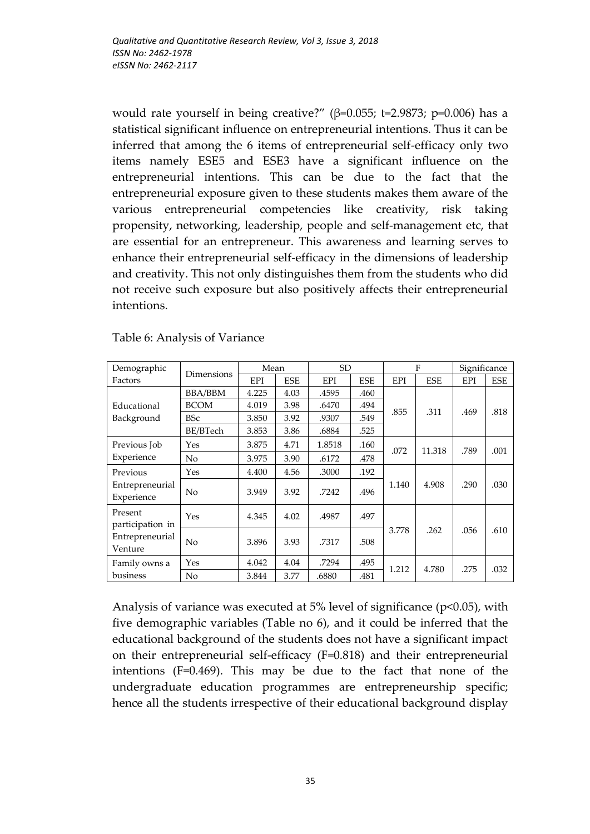would rate yourself in being creative?" (β=0.055; t=2.9873; p=0.006) has a statistical significant influence on entrepreneurial intentions. Thus it can be inferred that among the 6 items of entrepreneurial self-efficacy only two items namely ESE5 and ESE3 have a significant influence on the entrepreneurial intentions. This can be due to the fact that the entrepreneurial exposure given to these students makes them aware of the various entrepreneurial competencies like creativity, risk taking propensity, networking, leadership, people and self-management etc, that are essential for an entrepreneur. This awareness and learning serves to enhance their entrepreneurial self-efficacy in the dimensions of leadership and creativity. This not only distinguishes them from the students who did not receive such exposure but also positively affects their entrepreneurial intentions.

| Demographic                   | Dimensions     | Mean       |            | <b>SD</b>  |            |            | F          | Significance |            |
|-------------------------------|----------------|------------|------------|------------|------------|------------|------------|--------------|------------|
| Factors                       |                | <b>EPI</b> | <b>ESE</b> | <b>EPI</b> | <b>ESE</b> | <b>EPI</b> | <b>ESE</b> | <b>EPI</b>   | <b>ESE</b> |
|                               | <b>BBA/BBM</b> | 4.225      | 4.03       | .4595      | .460       |            |            |              |            |
| Educational<br>Background     | <b>BCOM</b>    | 4.019      | 3.98       | .6470      | .494       |            | .311       | .469         |            |
|                               | <b>BSc</b>     | 3.850      | 3.92       | .9307      | .549       | .855       |            |              | .818       |
|                               | BE/BTech       | 3.853      | 3.86       | .6884      | .525       |            |            |              |            |
| Previous Job                  | Yes            | 3.875      | 4.71       | 1.8518     | .160       | .072       | 11.318     | .789         | .001       |
| Experience                    | N <sub>o</sub> | 3.975      | 3.90       | .6172      | .478       |            |            |              |            |
| Previous                      | Yes            | 4.400      | 4.56       | .3000      | .192       |            | 4.908      | .290         | .030       |
| Entrepreneurial<br>Experience | No             | 3.949      | 3.92       | .7242      | .496       | 1.140      |            |              |            |
| Present<br>participation in   | Yes            | 4.345      | 4.02       | .4987      | .497       |            |            |              |            |
| Entrepreneurial<br>Venture    | No             | 3.896      | 3.93       | .7317      | .508       | 3.778      | .262       | .056         | .610       |
| Family owns a                 | Yes            | 4.042      | 4.04       | .7294      | .495       | 1.212      | 4.780      | .275         | .032       |
| business                      | N <sub>o</sub> | 3.844      | 3.77       | .6880      | .481       |            |            |              |            |

Table 6: Analysis of Variance

Analysis of variance was executed at  $5\%$  level of significance ( $p<0.05$ ), with five demographic variables (Table no 6), and it could be inferred that the educational background of the students does not have a significant impact on their entrepreneurial self-efficacy (F=0.818) and their entrepreneurial intentions (F=0.469). This may be due to the fact that none of the undergraduate education programmes are entrepreneurship specific; hence all the students irrespective of their educational background display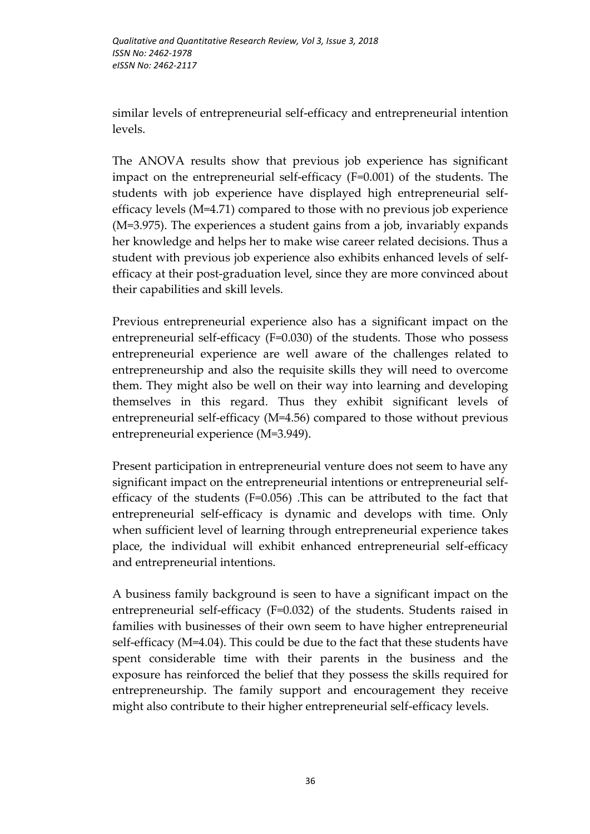similar levels of entrepreneurial self-efficacy and entrepreneurial intention levels.

The ANOVA results show that previous job experience has significant impact on the entrepreneurial self-efficacy (F=0.001) of the students. The students with job experience have displayed high entrepreneurial selfefficacy levels (M=4.71) compared to those with no previous job experience (M=3.975). The experiences a student gains from a job, invariably expands her knowledge and helps her to make wise career related decisions. Thus a student with previous job experience also exhibits enhanced levels of selfefficacy at their post-graduation level, since they are more convinced about their capabilities and skill levels.

Previous entrepreneurial experience also has a significant impact on the entrepreneurial self-efficacy (F=0.030) of the students. Those who possess entrepreneurial experience are well aware of the challenges related to entrepreneurship and also the requisite skills they will need to overcome them. They might also be well on their way into learning and developing themselves in this regard. Thus they exhibit significant levels of entrepreneurial self-efficacy (M=4.56) compared to those without previous entrepreneurial experience (M=3.949).

Present participation in entrepreneurial venture does not seem to have any significant impact on the entrepreneurial intentions or entrepreneurial selfefficacy of the students (F=0.056) .This can be attributed to the fact that entrepreneurial self-efficacy is dynamic and develops with time. Only when sufficient level of learning through entrepreneurial experience takes place, the individual will exhibit enhanced entrepreneurial self-efficacy and entrepreneurial intentions.

A business family background is seen to have a significant impact on the entrepreneurial self-efficacy (F=0.032) of the students. Students raised in families with businesses of their own seem to have higher entrepreneurial self-efficacy (M=4.04). This could be due to the fact that these students have spent considerable time with their parents in the business and the exposure has reinforced the belief that they possess the skills required for entrepreneurship. The family support and encouragement they receive might also contribute to their higher entrepreneurial self-efficacy levels.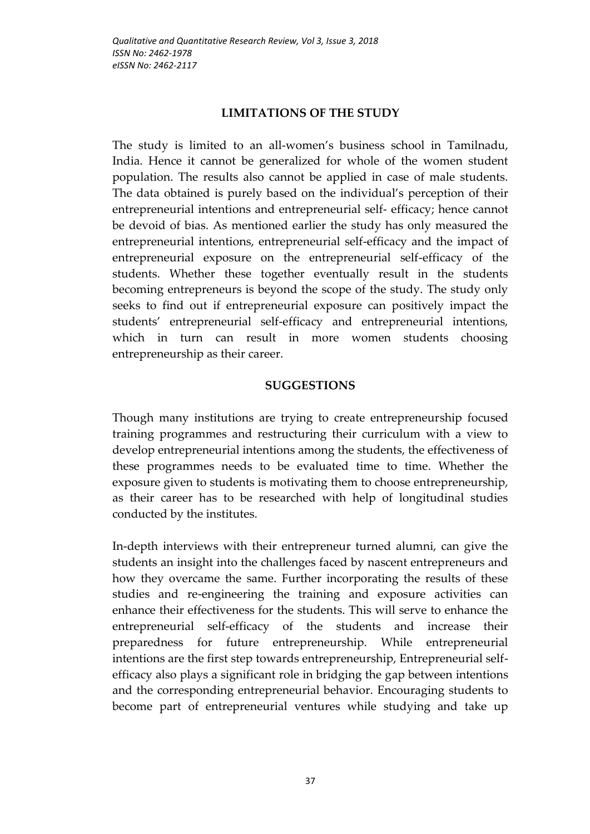# **LIMITATIONS OF THE STUDY**

The study is limited to an all-women's business school in Tamilnadu, India. Hence it cannot be generalized for whole of the women student population. The results also cannot be applied in case of male students. The data obtained is purely based on the individual's perception of their entrepreneurial intentions and entrepreneurial self- efficacy; hence cannot be devoid of bias. As mentioned earlier the study has only measured the entrepreneurial intentions, entrepreneurial self-efficacy and the impact of entrepreneurial exposure on the entrepreneurial self-efficacy of the students. Whether these together eventually result in the students becoming entrepreneurs is beyond the scope of the study. The study only seeks to find out if entrepreneurial exposure can positively impact the students' entrepreneurial self-efficacy and entrepreneurial intentions, which in turn can result in more women students choosing entrepreneurship as their career.

# **SUGGESTIONS**

Though many institutions are trying to create entrepreneurship focused training programmes and restructuring their curriculum with a view to develop entrepreneurial intentions among the students, the effectiveness of these programmes needs to be evaluated time to time. Whether the exposure given to students is motivating them to choose entrepreneurship, as their career has to be researched with help of longitudinal studies conducted by the institutes.

In-depth interviews with their entrepreneur turned alumni, can give the students an insight into the challenges faced by nascent entrepreneurs and how they overcame the same. Further incorporating the results of these studies and re-engineering the training and exposure activities can enhance their effectiveness for the students. This will serve to enhance the entrepreneurial self-efficacy of the students and increase their preparedness for future entrepreneurship. While entrepreneurial intentions are the first step towards entrepreneurship, Entrepreneurial selfefficacy also plays a significant role in bridging the gap between intentions and the corresponding entrepreneurial behavior. Encouraging students to become part of entrepreneurial ventures while studying and take up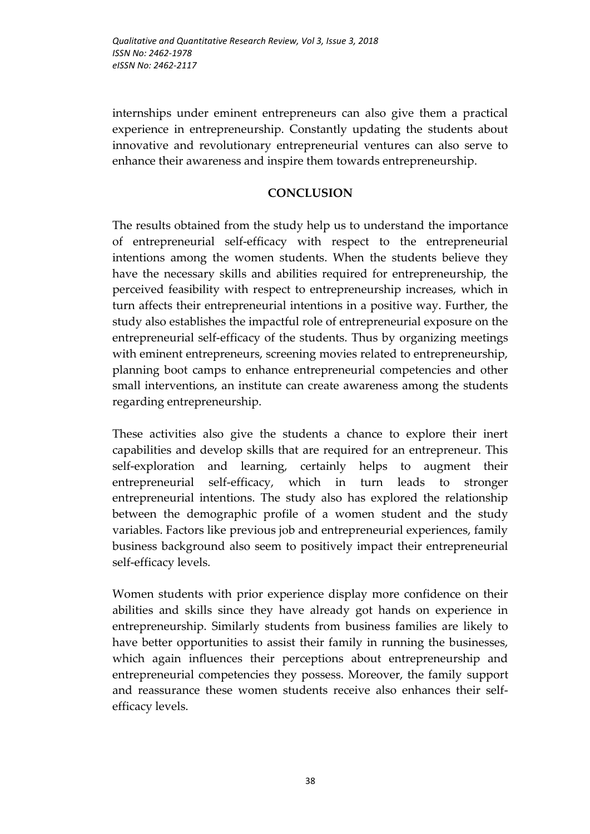internships under eminent entrepreneurs can also give them a practical experience in entrepreneurship. Constantly updating the students about innovative and revolutionary entrepreneurial ventures can also serve to enhance their awareness and inspire them towards entrepreneurship.

# **CONCLUSION**

The results obtained from the study help us to understand the importance of entrepreneurial self-efficacy with respect to the entrepreneurial intentions among the women students. When the students believe they have the necessary skills and abilities required for entrepreneurship, the perceived feasibility with respect to entrepreneurship increases, which in turn affects their entrepreneurial intentions in a positive way. Further, the study also establishes the impactful role of entrepreneurial exposure on the entrepreneurial self-efficacy of the students. Thus by organizing meetings with eminent entrepreneurs, screening movies related to entrepreneurship, planning boot camps to enhance entrepreneurial competencies and other small interventions, an institute can create awareness among the students regarding entrepreneurship.

These activities also give the students a chance to explore their inert capabilities and develop skills that are required for an entrepreneur. This self-exploration and learning, certainly helps to augment their entrepreneurial self-efficacy, which in turn leads to stronger entrepreneurial intentions. The study also has explored the relationship between the demographic profile of a women student and the study variables. Factors like previous job and entrepreneurial experiences, family business background also seem to positively impact their entrepreneurial self-efficacy levels.

Women students with prior experience display more confidence on their abilities and skills since they have already got hands on experience in entrepreneurship. Similarly students from business families are likely to have better opportunities to assist their family in running the businesses, which again influences their perceptions about entrepreneurship and entrepreneurial competencies they possess. Moreover, the family support and reassurance these women students receive also enhances their selfefficacy levels.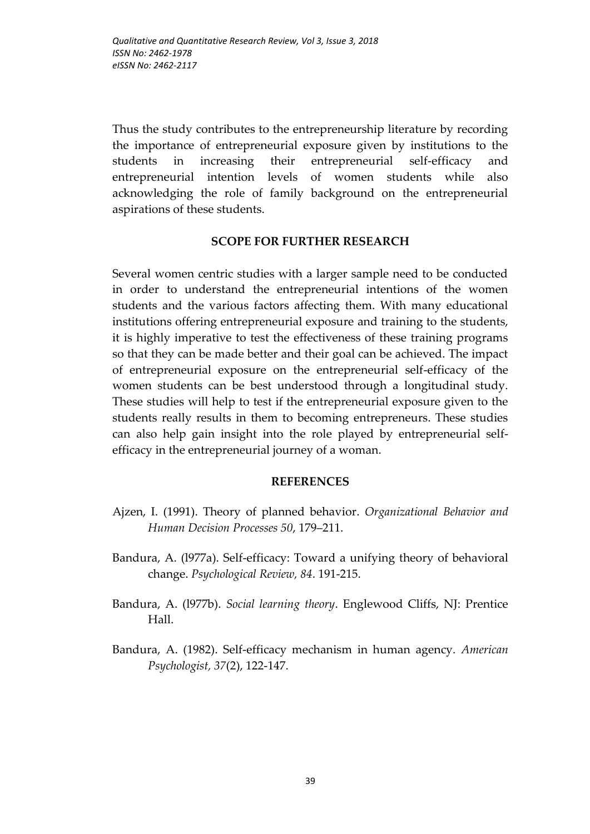Thus the study contributes to the entrepreneurship literature by recording the importance of entrepreneurial exposure given by institutions to the students in increasing their entrepreneurial self-efficacy and entrepreneurial intention levels of women students while also acknowledging the role of family background on the entrepreneurial aspirations of these students.

# **SCOPE FOR FURTHER RESEARCH**

Several women centric studies with a larger sample need to be conducted in order to understand the entrepreneurial intentions of the women students and the various factors affecting them. With many educational institutions offering entrepreneurial exposure and training to the students, it is highly imperative to test the effectiveness of these training programs so that they can be made better and their goal can be achieved. The impact of entrepreneurial exposure on the entrepreneurial self-efficacy of the women students can be best understood through a longitudinal study. These studies will help to test if the entrepreneurial exposure given to the students really results in them to becoming entrepreneurs. These studies can also help gain insight into the role played by entrepreneurial selfefficacy in the entrepreneurial journey of a woman.

#### **REFERENCES**

- Ajzen, I. (1991). Theory of planned behavior. *Organizational Behavior and Human Decision Processes 50*, 179–211.
- Bandura, A. (l977a). Self-efficacy: Toward a unifying theory of behavioral change. *Psychological Review, 84*. 191-215.
- Bandura, A. (l977b). *Social learning theory*. Englewood Cliffs, NJ: Prentice Hall.
- Bandura, A. (1982). Self-efficacy mechanism in human agency. *American Psychologist, 37*(2), 122-147.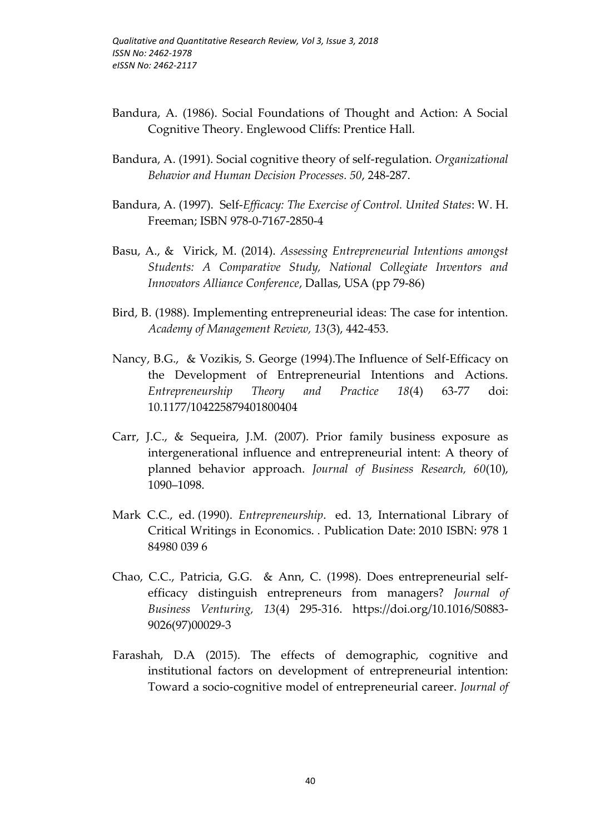- Bandura, A. (1986). Social Foundations of Thought and Action: A Social Cognitive Theory. Englewood Cliffs: Prentice Hall.
- Bandura, A. (1991). Social cognitive theory of self-regulation. *Organizational Behavior and Human Decision Processes. 50*, 248-287.
- Bandura, A. (1997). Self-*Efficacy: The Exercise of Control. United States*: W. H. Freeman; ISBN 978-0-7167-2850-4
- Basu, A., & Virick, M. (2014). *Assessing Entrepreneurial Intentions amongst Students: A Comparative Study, National Collegiate Inventors and Innovators Alliance Conference*, Dallas, USA (pp 79-86)
- Bird, B. (1988). Implementing entrepreneurial ideas: The case for intention. *Academy of Management Review, 13*(3), 442-453.
- Nancy, B.G., & Vozikis, S. George (1994).The Influence of Self-Efficacy on the Development of Entrepreneurial Intentions and Actions. *Entrepreneurship Theory and Practice 18*(4) 63-77 doi: 10.1177/104225879401800404
- Carr, J.C., & Sequeira, J.M. (2007). Prior family business exposure as intergenerational influence and entrepreneurial intent: A theory of planned behavior approach. *Journal of Business Research, 60*(10), 1090–1098.
- Mark C.C., ed. (1990). *Entrepreneurship*. ed. 13, International Library of Critical Writings in Economics. . Publication Date: 2010 ISBN: 978 1 84980 039 6
- Chao, C.C., Patricia, G.G. & Ann, C. (1998). Does entrepreneurial selfefficacy distinguish entrepreneurs from managers? *[Journal of](https://www.sciencedirect.com/science/journal/08839026)  [Business Venturing,](https://www.sciencedirect.com/science/journal/08839026) 13*(4) 295-316. https://doi.org/10.1016/S0883- 9026(97)00029-3
- Farashah, D.A (2015). The effects of demographic, cognitive and institutional factors on development of entrepreneurial intention: Toward a socio-cognitive model of entrepreneurial career. *Journal of*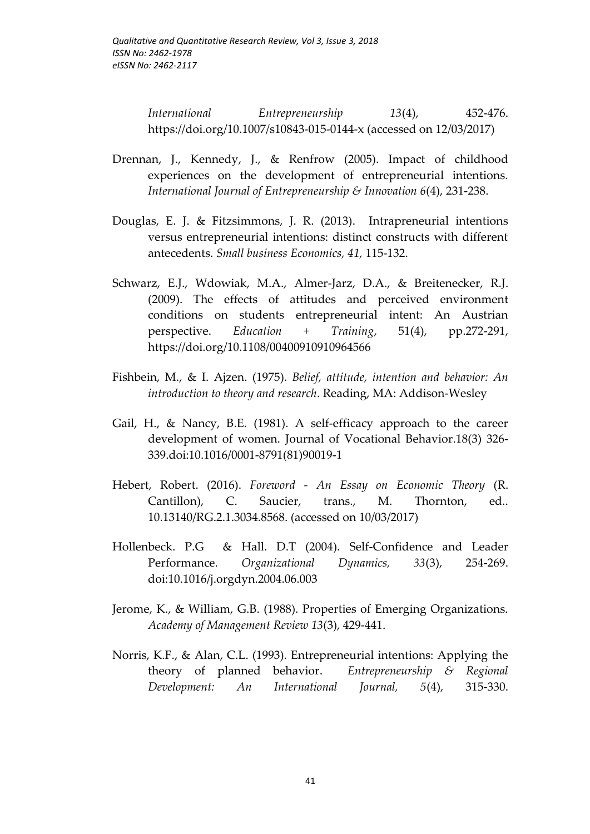*International Entrepreneurship 13*(4), 452-476. <https://doi.org/10.1007/s10843-015-0144-x> (accessed on 12/03/2017[\)](https://www.scirp.org/(S(351jmbntvnsjt1aadkposzje))/journal/articles.aspx?searchCode=Hui+Kang&searchField=authors&page=1)

- Drennan, J., Kennedy, J., & Renfrow (2005). Impact of childhood experiences on the development of entrepreneurial intentions. *International Journal of Entrepreneurship & Innovation 6*(4), 231-238.
- Douglas, E. J. & Fitzsimmons, J. R. (2013). Intrapreneurial intentions versus entrepreneurial intentions: distinct constructs with different antecedents. *Small business Economics, 41,* 115-132.
- [Schwarz,](https://www.emeraldinsight.com/author/Schwarz%2C+Erich+J) E.J., [Wdowiak,](https://www.emeraldinsight.com/author/Wdowiak%2C+Malgorzata+A) M.A., [Almer‐Jarz](https://www.emeraldinsight.com/author/Almer-Jarz%2C+Daniela+A), D.A., & [Breitenecker,](https://www.emeraldinsight.com/author/Breitenecker%2C+Robert+J) R.J. (2009). The effects of attitudes and perceived environment conditions on students entrepreneurial intent: An Austrian perspective. *Education + Training*, 51(4), pp.272-291, <https://doi.org/10.1108/00400910910964566>
- Fishbein, M., & I. Ajzen. (1975). *Belief, attitude, intention and behavior: An introduction to theory and research*. Reading, MA: Addison-Wesley
- [Gail,](https://www.sciencedirect.com/science/article/abs/pii/0001879181900191#!) H., & Nancy, B.E. (1981). A self-efficacy approach to the career development of women. [Journal of Vocational Behavior.](https://www.sciencedirect.com/science/journal/00018791)18(3) 326- 339.doi:10.1016/0001-8791(81)90019-1
- Hebert, Robert. (2016). *Foreword - An Essay on Economic Theory* (R. Cantillon), C. Saucier, trans., M. Thornton, ed.. 10.13140/RG.2.1.3034.8568. (accessed on 10/03/2017)
- Hollenbeck. P.G & Hall. D.T (2004). Self-Confidence and Leader Performance. *Organizational Dynamics, 33*(3), 254-269. doi:10.1016/j.orgdyn.2004.06.003
- Jerome, K., & William, G.B. (1988). Properties of Emerging Organizations. *Academy of Management Review 13*(3), 429-441.
- Norris, K.F., & Alan, C.L. (1993). Entrepreneurial intentions: Applying the theory of planned behavior. *Entrepreneurship & Regional Development: An International Journal, 5*(4), 315-330.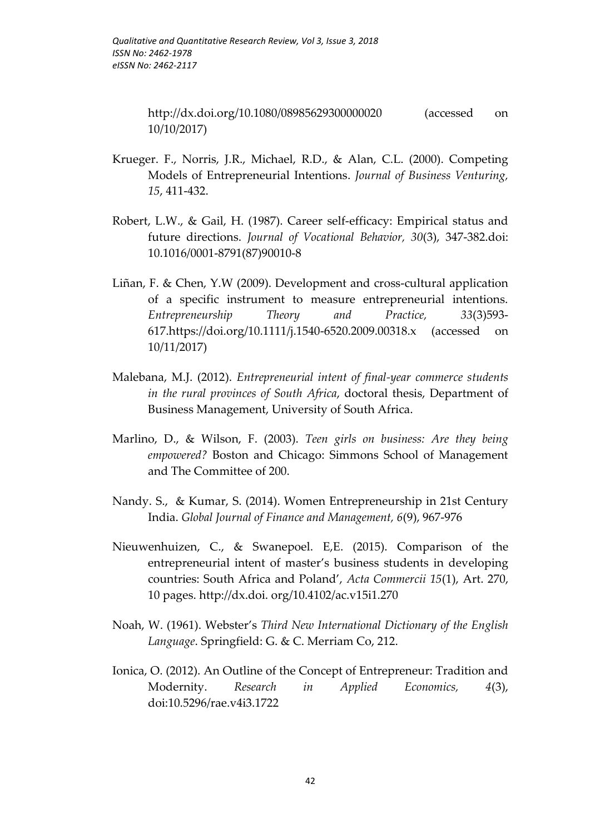http://dx.doi.org/10.1080/08985629300000020 (accessed on 10/10/2017)

- Krueger. F., Norris, J.R., Michael, R.D., & Alan, C.L. (2000). Competing Models of Entrepreneurial Intentions. *[Journal of Business Venturing,](https://www.sciencedirect.com/science/journal/08839026) 15*, 411-432.
- Robert, L.W., & [Gail, H.](https://www.sciencedirect.com/science/article/abs/pii/0001879181900191#!) (1987). Career self-efficacy: Empirical status and future directions. *[Journal of Vocational Behavior,](https://www.sciencedirect.com/science/journal/00018791) 30*(3), 347-382.doi: 10.1016/0001-8791(87)90010-8
- Liñan, F. & Chen, Y.W (2009). Development and cross-cultural application of a specific instrument to measure entrepreneurial intentions. *Entrepreneurship Theory and Practice, 33*(3)593- 617[.https://doi.org/10.1111/j.1540-6520.2009.00318.x](https://doi.org/10.1111/j.1540-6520.2009.00318.x) (accessed on 10/11/2017)
- Malebana, M.J. (2012). *Entrepreneurial intent of final-year commerce students in the rural provinces of South Africa*, doctoral thesis, Department of Business Management, University of South Africa.
- Marlino, D., & Wilson, F. (2003). *Teen girls on business: Are they being empowered?* Boston and Chicago: Simmons School of Management and The Committee of 200.
- Nandy. S., & Kumar, S. (2014). Women Entrepreneurship in 21st Century India. *Global Journal of Finance and Management, 6*(9), 967-976
- Nieuwenhuizen, C., & Swanepoel. E,E. (2015). Comparison of the entrepreneurial intent of master's business students in developing countries: South Africa and Poland', *Acta Commercii 15*(1), Art. 270, 10 pages. http://dx.doi. org/10.4102/ac.v15i1.270
- Noah, W. (1961). Webster's *Third New International Dictionary of the English Language*. Springfield: G. & C. Merriam Co, 212.
- Ionica, O. (2012). An Outline of the Concept of Entrepreneur: Tradition and Modernity. *Research in Applied Economics, 4*(3), doi:10.5296/rae.v4i3.1722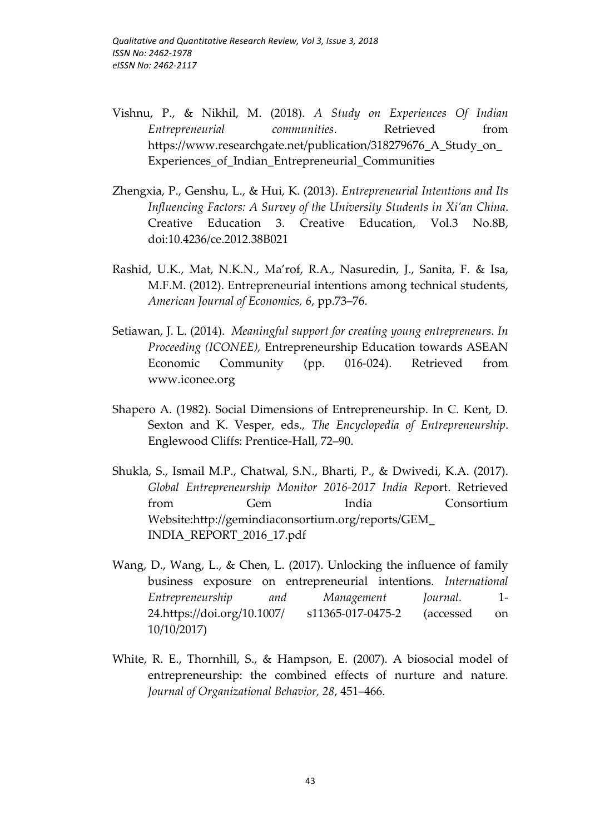- Vishnu, P., & Nikhil, M. (2018). *A Study on Experiences Of Indian Entrepreneurial communities*. Retrieved from [https://www.researchgate.net/publication/318279676\\_A\\_Study\\_on\\_](https://www.researchgate.net/publication/318279676_A_Study_on_Experiences_of_Indian_Entrepreneurial_Communities) [Experiences\\_of\\_Indian\\_Entrepreneurial\\_Communities](https://www.researchgate.net/publication/318279676_A_Study_on_Experiences_of_Indian_Entrepreneurial_Communities)
- Zhengxia, P., Genshu, L., & Hui, K. (2013). *[Entrepreneurial Intentions and Its](https://www.scirp.org/(S(351jmbntvnsjt1aadkposzje))/journal/PaperInformation.aspx?PaperID=26768)  [Influencing Factors: A Survey of the University Students i](https://www.scirp.org/(S(351jmbntvnsjt1aadkposzje))/journal/PaperInformation.aspx?PaperID=26768)n Xi'an China*. Creative Education 3. [Creative Education,](https://www.scirp.org/(S(351jmbntvnsjt1aadkposzje))/journal/Home.aspx?JournalID=136) [Vol.3 No.8B,](https://www.scirp.org/(S(351jmbntvnsjt1aadkposzje))/journal/Home.aspx?IssueID=2499) doi[:10.4236/ce.2012.38B021](http://dx.doi.org/10.4236/ce.2012.38B021)
- Rashid, U.K., Mat, N.K.N., Ma'rof, R.A., Nasuredin, J., Sanita, F. & Isa, M.F.M. (2012). Entrepreneurial intentions among technical students, *American Journal of Economics, 6*, pp.73–76.
- Setiawan, J. L. (2014). *Meaningful support for creating young entrepreneurs. In Proceeding (ICONEE),* Entrepreneurship Education towards ASEAN Economic Community (pp. 016-024). Retrieved from [www.iconee.org](http://www.iconee.org/)
- Shapero A. (1982). Social Dimensions of Entrepreneurship. In C. Kent, D. Sexton and K. Vesper, eds., *The Encyclopedia of Entrepreneurship*. Englewood Cliffs: Prentice-Hall, 72–90.
- Shukla, S., Ismail M.P., Chatwal, S.N., Bharti, P., & Dwivedi, K.A. (2017). *Global Entrepreneurship Monitor 2016-2017 India Rep*ort. Retrieved from Gem India Consortium Website:http://gemindiaconsortium.org/reports/GEM\_ INDIA\_REPORT\_2016\_17.pdf
- Wang, D., Wang, L., & Chen, L. (2017). Unlocking the influence of family business exposure on entrepreneurial intentions. *[International](https://link.springer.com/journal/11365)  [Entrepreneurship and Management Journal.](https://link.springer.com/journal/11365)* 1- 24[.https://doi.org/10.1007/ s11365-017-0475-2](https://doi.org/10.1007/%20s11365-017-0475-2) (accessed on 10/10/2017)
- White, R. E., Thornhill, S., & Hampson, E. (2007). A biosocial model of entrepreneurship: the combined effects of nurture and nature*. Journal of Organizational Behavior, 28*, 451–466.